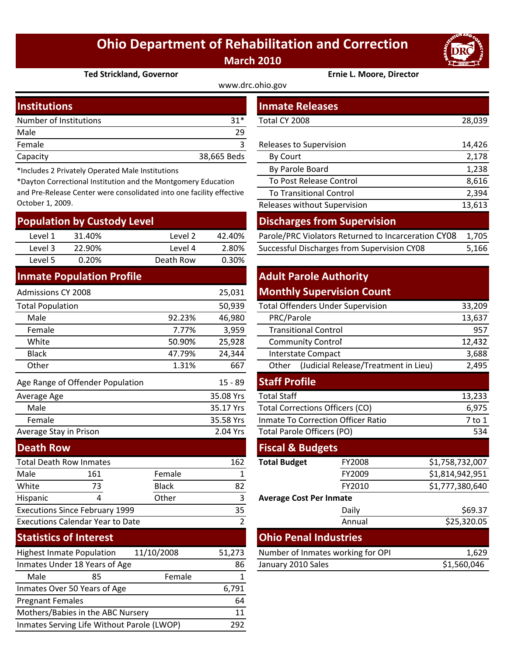## **Ohio Department of Rehabilitation and Correction March 2010**



#### **Ted Strickland, Governor Ernie L. Moore, Director**

www.drc.ohio.gov

|             | <b>Inmate Releases</b>  |        |
|-------------|-------------------------|--------|
| $31*$       | Total CY 2008           | 28,039 |
| 29          |                         |        |
|             | Releases to Supervision | 14,426 |
| 38,665 Beds | <b>By Court</b>         | 2,178  |
|             |                         |        |

\*Includes 2 Privately Operated Male Institutions

\*Dayton Correctional Institution and the Montgomery Education and Pre‐Release Center were consolidated into one facility effective October 1, 2009.

| <b>Population by Custody Level</b> |                                  |              |           | <b>Discharges from Supervision</b> |                             |                                                     |                 |  |
|------------------------------------|----------------------------------|--------------|-----------|------------------------------------|-----------------------------|-----------------------------------------------------|-----------------|--|
| Level 1                            | 31.40%                           | Level 2      | 42.40%    |                                    |                             | Parole/PRC Violators Returned to Incarceration CY08 | 1,705           |  |
| Level 3                            | 22.90%                           | Level 4      | 2.80%     |                                    |                             | Successful Discharges from Supervision CY08         | 5,166           |  |
| Level 5                            | 0.20%                            | Death Row    | 0.30%     |                                    |                             |                                                     |                 |  |
|                                    | <b>Inmate Population Profile</b> |              |           | <b>Adult Parole Authority</b>      |                             |                                                     |                 |  |
| <b>Admissions CY 2008</b>          |                                  |              | 25,031    |                                    |                             | <b>Monthly Supervision Count</b>                    |                 |  |
| <b>Total Population</b>            |                                  |              | 50,939    |                                    |                             | <b>Total Offenders Under Supervision</b>            | 33,209          |  |
| Male                               |                                  | 92.23%       | 46,980    | PRC/Parole                         |                             |                                                     | 13,637          |  |
| Female                             |                                  | 7.77%        | 3,959     |                                    | <b>Transitional Control</b> |                                                     | 957             |  |
| White                              |                                  | 50.90%       | 25,928    | <b>Community Control</b>           |                             | 12,432                                              |                 |  |
| <b>Black</b>                       |                                  | 47.79%       | 24,344    | <b>Interstate Compact</b>          |                             | 3,688                                               |                 |  |
| Other                              |                                  | 1.31%        | 667       | Other                              |                             | (Judicial Release/Treatment in Lieu)                | 2,495           |  |
|                                    | Age Range of Offender Population |              | $15 - 89$ | <b>Staff Profile</b>               |                             |                                                     |                 |  |
| Average Age                        |                                  |              | 35.08 Yrs | <b>Total Staff</b>                 |                             |                                                     | 13,233          |  |
| Male                               |                                  |              | 35.17 Yrs |                                    |                             | <b>Total Corrections Officers (CO)</b>              | 6,975           |  |
| Female                             |                                  |              | 35.58 Yrs |                                    |                             | Inmate To Correction Officer Ratio                  | $7$ to $1$      |  |
| Average Stay in Prison             |                                  |              | 2.04 Yrs  | Total Parole Officers (PO)         |                             |                                                     | 534             |  |
| <b>Death Row</b>                   |                                  |              |           | <b>Fiscal &amp; Budgets</b>        |                             |                                                     |                 |  |
|                                    | <b>Total Death Row Inmates</b>   |              | 162       | <b>Total Budget</b>                |                             | FY2008                                              | \$1,758,732,007 |  |
| Male                               | 161                              | Female       | 1         |                                    |                             | FY2009                                              | \$1,814,942,951 |  |
| White                              | 73                               | <b>Black</b> | 82        |                                    |                             | FY2010                                              | \$1,777,380,640 |  |
|                                    |                                  |              |           |                                    |                             |                                                     |                 |  |

| Hispanic                                | Other |    |
|-----------------------------------------|-------|----|
| <b>Executions Since February 1999</b>   |       | 35 |
| <b>Executions Calendar Year to Date</b> |       |    |
|                                         |       |    |

### **Statistics of Interest**

| <b>Highest Inmate Population</b>           | 11/10/2008 | 51,273 |
|--------------------------------------------|------------|--------|
| Inmates Under 18 Years of Age              |            | 86     |
| Male<br>85                                 | Female     |        |
| Inmates Over 50 Years of Age               |            | 6,791  |
| <b>Pregnant Females</b>                    |            | 64     |
| Mothers/Babies in the ABC Nursery          |            | 11     |
| Inmates Serving Life Without Parole (LWOP) |            |        |

| <b>stitutions</b>                                                |                                               |         |             | <b>Inmate Releases</b>                              |        |  |  |
|------------------------------------------------------------------|-----------------------------------------------|---------|-------------|-----------------------------------------------------|--------|--|--|
|                                                                  | mber of Institutions                          |         | $31*$       | Total CY 2008                                       | 28,039 |  |  |
| le.                                                              |                                               |         | 29          |                                                     |        |  |  |
| nale                                                             |                                               |         | 3           | Releases to Supervision                             | 14,426 |  |  |
| acity                                                            |                                               |         | 38,665 Beds | By Court                                            | 2,178  |  |  |
|                                                                  | cludes 2 Privately Operated Male Institutions |         |             | By Parole Board                                     | 1,238  |  |  |
| yton Correctional Institution and the Montgomery Education       |                                               |         |             | To Post Release Control                             | 8,616  |  |  |
| Pre-Release Center were consolidated into one facility effective |                                               |         |             | <b>To Transitional Control</b>                      | 2,394  |  |  |
| ober 1, 2009.                                                    |                                               |         |             | Releases without Supervision                        | 13,613 |  |  |
|                                                                  | pulation by Custody Level                     |         |             | <b>Discharges from Supervision</b>                  |        |  |  |
| Level 1                                                          | 31.40%                                        | Level 2 | 42.40%      | Parole/PRC Violators Returned to Incarceration CY08 | 1,705  |  |  |
| Level 3                                                          | 22.90%                                        | Level 4 | 2.80%       | Successful Discharges from Supervision CY08         | 5,166  |  |  |

## **Adult Parole Authority**

#### **Monthly Supervision Count**

|        | 50,939 | <b>Total Offenders Under Supervision</b>      | 33,209 |
|--------|--------|-----------------------------------------------|--------|
| 92.23% | 46,980 | PRC/Parole                                    | 13,637 |
| 7.77%  | 3,959  | <b>Transitional Control</b>                   | 957    |
| 50.90% | 25,928 | <b>Community Control</b>                      | 12,432 |
| 47.79% | 24,344 | Interstate Compact                            | 3,688  |
| 1.31%  | 667    | (Judicial Release/Treatment in Lieu)<br>Other | 2,495  |
|        |        |                                               |        |

| <b>Staff Profile</b>                      |        |                 |
|-------------------------------------------|--------|-----------------|
| <b>Total Staff</b>                        |        | 13,233          |
| <b>Total Corrections Officers (CO)</b>    |        | 6,975           |
| <b>Inmate To Correction Officer Ratio</b> |        | 7 to 1          |
| <b>Total Parole Officers (PO)</b>         |        | 534             |
| <b>Fiscal &amp; Budgets</b>               |        |                 |
| <b>Total Budget</b>                       | FY2008 | \$1,758,732,007 |
|                                           | FY2009 | \$1,814,942,951 |
|                                           | FY2010 | \$1,777,380,640 |
| <b>Average Cost Per Inmate</b>            |        |                 |
|                                           | Daily  | \$69.37         |
|                                           | Annual | \$25,320.05     |
| <b>Ohio Penal Industries</b>              |        |                 |
| Number of Inmates working for OPI         |        | 1,629           |
| January 2010 Sales                        |        | \$1,560,046     |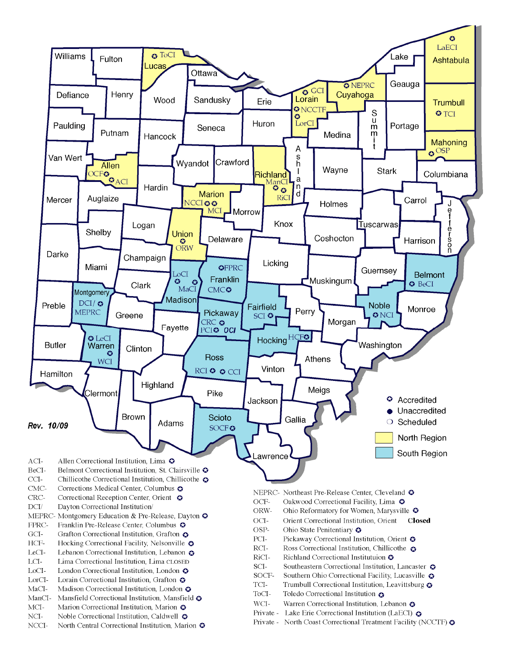